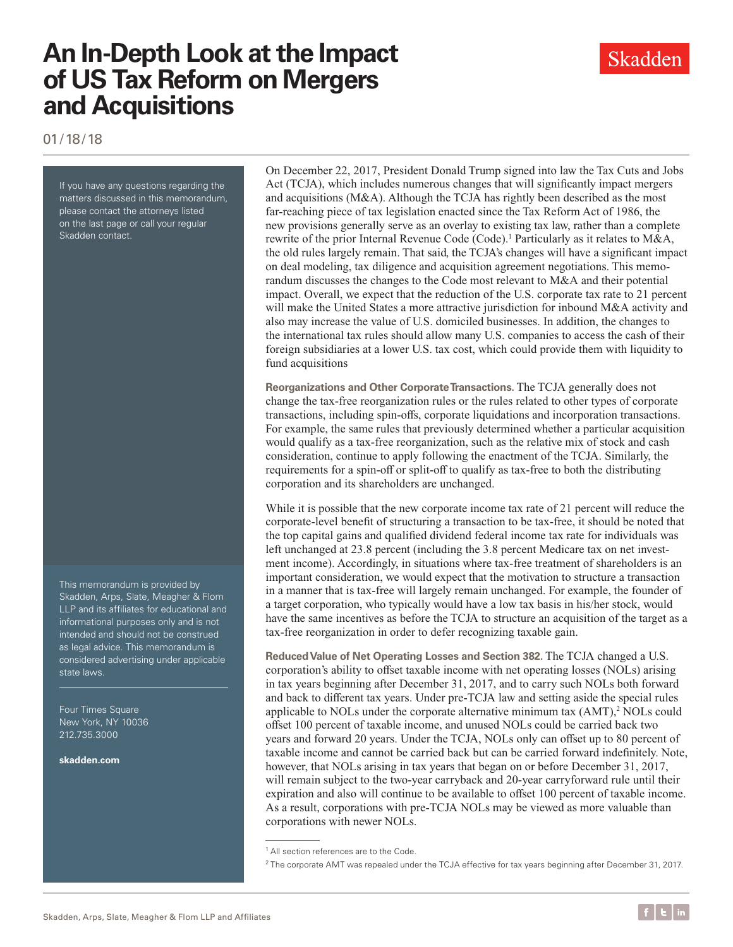Skadden

01/18/18

If you have any questions regarding the matters discussed in this memorandum, please contact the attorneys listed on the last page or call your regular Skadden contact.

This memorandum is provided by Skadden, Arps, Slate, Meagher & Flom LLP and its affiliates for educational and informational purposes only and is not intended and should not be construed as legal advice. This memorandum is considered advertising under applicable state laws.

Four Times Square New York, NY 10036 212.735.3000

**[skadden.com](http://www.skadden.com)**

On December 22, 2017, President Donald Trump signed into law the Tax Cuts and Jobs Act (TCJA), which includes numerous changes that will significantly impact mergers and acquisitions (M&A). Although the TCJA has rightly been described as the most far-reaching piece of tax legislation enacted since the Tax Reform Act of 1986, the new provisions generally serve as an overlay to existing tax law, rather than a complete rewrite of the prior Internal Revenue Code (Code).<sup>1</sup> Particularly as it relates to M&A, the old rules largely remain. That said, the TCJA's changes will have a significant impact on deal modeling, tax diligence and acquisition agreement negotiations. This memorandum discusses the changes to the Code most relevant to M&A and their potential impact. Overall, we expect that the reduction of the U.S. corporate tax rate to 21 percent will make the United States a more attractive jurisdiction for inbound M&A activity and also may increase the value of U.S. domiciled businesses. In addition, the changes to the international tax rules should allow many U.S. companies to access the cash of their foreign subsidiaries at a lower U.S. tax cost, which could provide them with liquidity to fund acquisitions

**Reorganizations and Other Corporate Transactions.** The TCJA generally does not change the tax-free reorganization rules or the rules related to other types of corporate transactions, including spin-offs, corporate liquidations and incorporation transactions. For example, the same rules that previously determined whether a particular acquisition would qualify as a tax-free reorganization, such as the relative mix of stock and cash consideration, continue to apply following the enactment of the TCJA. Similarly, the requirements for a spin-off or split-off to qualify as tax-free to both the distributing corporation and its shareholders are unchanged.

While it is possible that the new corporate income tax rate of 21 percent will reduce the corporate-level benefit of structuring a transaction to be tax-free, it should be noted that the top capital gains and qualified dividend federal income tax rate for individuals was left unchanged at 23.8 percent (including the 3.8 percent Medicare tax on net investment income). Accordingly, in situations where tax-free treatment of shareholders is an important consideration, we would expect that the motivation to structure a transaction in a manner that is tax-free will largely remain unchanged. For example, the founder of a target corporation, who typically would have a low tax basis in his/her stock, would have the same incentives as before the TCJA to structure an acquisition of the target as a tax-free reorganization in order to defer recognizing taxable gain.

**Reduced Value of Net Operating Losses and Section 382.** The TCJA changed a U.S. corporation's ability to offset taxable income with net operating losses (NOLs) arising in tax years beginning after December 31, 2017, and to carry such NOLs both forward and back to different tax years. Under pre-TCJA law and setting aside the special rules applicable to NOLs under the corporate alternative minimum tax (AMT),<sup>2</sup> NOLs could offset 100 percent of taxable income, and unused NOLs could be carried back two years and forward 20 years. Under the TCJA, NOLs only can offset up to 80 percent of taxable income and cannot be carried back but can be carried forward indefinitely. Note, however, that NOLs arising in tax years that began on or before December 31, 2017, will remain subject to the two-year carryback and 20-year carryforward rule until their expiration and also will continue to be available to offset 100 percent of taxable income. As a result, corporations with pre-TCJA NOLs may be viewed as more valuable than corporations with newer NOLs.

<sup>&</sup>lt;sup>1</sup> All section references are to the Code.

<sup>2</sup> The corporate AMT was repealed under the TCJA effective for tax years beginning after December 31, 2017.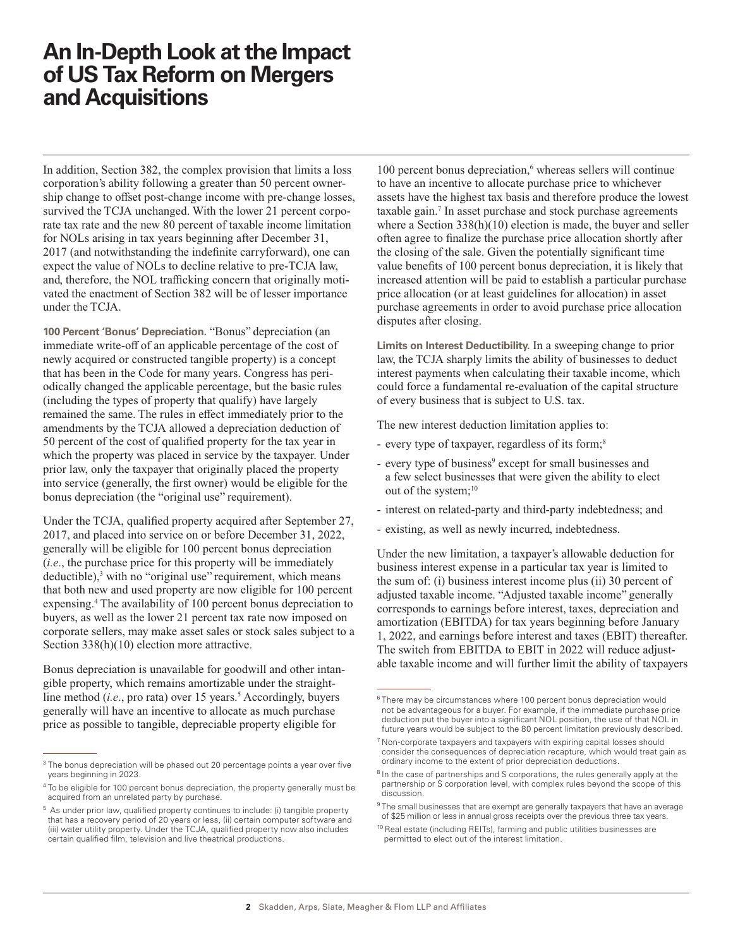In addition, Section 382, the complex provision that limits a loss corporation's ability following a greater than 50 percent ownership change to offset post-change income with pre-change losses, survived the TCJA unchanged. With the lower 21 percent corporate tax rate and the new 80 percent of taxable income limitation for NOLs arising in tax years beginning after December 31, 2017 (and notwithstanding the indefinite carryforward), one can expect the value of NOLs to decline relative to pre-TCJA law, and, therefore, the NOL trafficking concern that originally motivated the enactment of Section 382 will be of lesser importance under the TCJA.

**100 Percent 'Bonus' Depreciation.** "Bonus" depreciation (an immediate write-off of an applicable percentage of the cost of newly acquired or constructed tangible property) is a concept that has been in the Code for many years. Congress has periodically changed the applicable percentage, but the basic rules (including the types of property that qualify) have largely remained the same. The rules in effect immediately prior to the amendments by the TCJA allowed a depreciation deduction of 50 percent of the cost of qualified property for the tax year in which the property was placed in service by the taxpayer. Under prior law, only the taxpayer that originally placed the property into service (generally, the first owner) would be eligible for the bonus depreciation (the "original use" requirement).

Under the TCJA, qualified property acquired after September 27, 2017, and placed into service on or before December 31, 2022, generally will be eligible for 100 percent bonus depreciation (*i.e*., the purchase price for this property will be immediately deductible),<sup>3</sup> with no "original use" requirement, which means that both new and used property are now eligible for 100 percent expensing.<sup>4</sup> The availability of 100 percent bonus depreciation to buyers, as well as the lower 21 percent tax rate now imposed on corporate sellers, may make asset sales or stock sales subject to a Section 338(h)(10) election more attractive.

Bonus depreciation is unavailable for goodwill and other intangible property, which remains amortizable under the straightline method (*i.e.*, pro rata) over 15 years.<sup>5</sup> Accordingly, buyers generally will have an incentive to allocate as much purchase price as possible to tangible, depreciable property eligible for

100 percent bonus depreciation,<sup>6</sup> whereas sellers will continue to have an incentive to allocate purchase price to whichever assets have the highest tax basis and therefore produce the lowest taxable gain.<sup>7</sup> In asset purchase and stock purchase agreements where a Section 338(h)(10) election is made, the buyer and seller often agree to finalize the purchase price allocation shortly after the closing of the sale. Given the potentially significant time value benefits of 100 percent bonus depreciation, it is likely that increased attention will be paid to establish a particular purchase price allocation (or at least guidelines for allocation) in asset purchase agreements in order to avoid purchase price allocation disputes after closing.

**Limits on Interest Deductibility.** In a sweeping change to prior law, the TCJA sharply limits the ability of businesses to deduct interest payments when calculating their taxable income, which could force a fundamental re-evaluation of the capital structure of every business that is subject to U.S. tax.

The new interest deduction limitation applies to:

- every type of taxpayer, regardless of its form;<sup>8</sup>
- every type of business<sup>9</sup> except for small businesses and a few select businesses that were given the ability to elect out of the system;<sup>10</sup>
- interest on related-party and third-party indebtedness; and
- existing, as well as newly incurred, indebtedness.

Under the new limitation, a taxpayer's allowable deduction for business interest expense in a particular tax year is limited to the sum of: (i) business interest income plus (ii) 30 percent of adjusted taxable income. "Adjusted taxable income" generally corresponds to earnings before interest, taxes, depreciation and amortization (EBITDA) for tax years beginning before January 1, 2022, and earnings before interest and taxes (EBIT) thereafter. The switch from EBITDA to EBIT in 2022 will reduce adjustable taxable income and will further limit the ability of taxpayers

<sup>10</sup> Real estate (including REITs), farming and public utilities businesses are permitted to elect out of the interest limitation.

<sup>&</sup>lt;sup>3</sup> The bonus depreciation will be phased out 20 percentage points a year over five years beginning in 2023.

 $4$  To be eligible for 100 percent bonus depreciation, the property generally must be acquired from an unrelated party by purchase.

<sup>5</sup> As under prior law, qualified property continues to include: (i) tangible property that has a recovery period of 20 years or less, (ii) certain computer software and (iii) water utility property. Under the TCJA, qualified property now also includes certain qualified film, television and live theatrical productions.

<sup>&</sup>lt;sup>6</sup> There may be circumstances where 100 percent bonus depreciation would not be advantageous for a buyer. For example, if the immediate purchase price deduction put the buyer into a significant NOL position, the use of that NOL in future years would be subject to the 80 percent limitation previously described.

<sup>7</sup> Non-corporate taxpayers and taxpayers with expiring capital losses should consider the consequences of depreciation recapture, which would treat gain as ordinary income to the extent of prior depreciation deductions.

<sup>&</sup>lt;sup>8</sup> In the case of partnerships and S corporations, the rules generally apply at the partnership or S corporation level, with complex rules beyond the scope of this discussion.

 $9$  The small businesses that are exempt are generally taxpayers that have an average of \$25 million or less in annual gross receipts over the previous three tax years.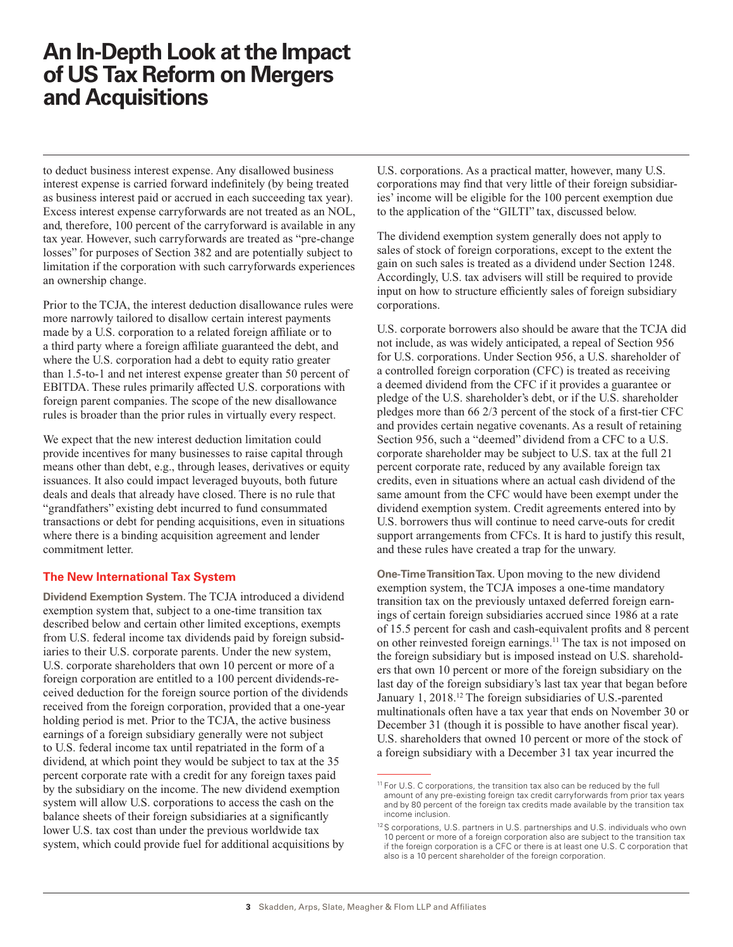to deduct business interest expense. Any disallowed business interest expense is carried forward indefinitely (by being treated as business interest paid or accrued in each succeeding tax year). Excess interest expense carryforwards are not treated as an NOL, and, therefore, 100 percent of the carryforward is available in any tax year. However, such carryforwards are treated as "pre-change losses" for purposes of Section 382 and are potentially subject to limitation if the corporation with such carryforwards experiences an ownership change.

Prior to the TCJA, the interest deduction disallowance rules were more narrowly tailored to disallow certain interest payments made by a U.S. corporation to a related foreign affiliate or to a third party where a foreign affiliate guaranteed the debt, and where the U.S. corporation had a debt to equity ratio greater than 1.5-to-1 and net interest expense greater than 50 percent of EBITDA. These rules primarily affected U.S. corporations with foreign parent companies. The scope of the new disallowance rules is broader than the prior rules in virtually every respect.

We expect that the new interest deduction limitation could provide incentives for many businesses to raise capital through means other than debt, e.g., through leases, derivatives or equity issuances. It also could impact leveraged buyouts, both future deals and deals that already have closed. There is no rule that "grandfathers" existing debt incurred to fund consummated transactions or debt for pending acquisitions, even in situations where there is a binding acquisition agreement and lender commitment letter.

#### **The New International Tax System**

**Dividend Exemption System.** The TCJA introduced a dividend exemption system that, subject to a one-time transition tax described below and certain other limited exceptions, exempts from U.S. federal income tax dividends paid by foreign subsidiaries to their U.S. corporate parents. Under the new system, U.S. corporate shareholders that own 10 percent or more of a foreign corporation are entitled to a 100 percent dividends-received deduction for the foreign source portion of the dividends received from the foreign corporation, provided that a one-year holding period is met. Prior to the TCJA, the active business earnings of a foreign subsidiary generally were not subject to U.S. federal income tax until repatriated in the form of a dividend, at which point they would be subject to tax at the 35 percent corporate rate with a credit for any foreign taxes paid by the subsidiary on the income. The new dividend exemption system will allow U.S. corporations to access the cash on the balance sheets of their foreign subsidiaries at a significantly lower U.S. tax cost than under the previous worldwide tax system, which could provide fuel for additional acquisitions by

U.S. corporations. As a practical matter, however, many U.S. corporations may find that very little of their foreign subsidiaries' income will be eligible for the 100 percent exemption due to the application of the "GILTI" tax, discussed below.

The dividend exemption system generally does not apply to sales of stock of foreign corporations, except to the extent the gain on such sales is treated as a dividend under Section 1248. Accordingly, U.S. tax advisers will still be required to provide input on how to structure efficiently sales of foreign subsidiary corporations.

U.S. corporate borrowers also should be aware that the TCJA did not include, as was widely anticipated, a repeal of Section 956 for U.S. corporations. Under Section 956, a U.S. shareholder of a controlled foreign corporation (CFC) is treated as receiving a deemed dividend from the CFC if it provides a guarantee or pledge of the U.S. shareholder's debt, or if the U.S. shareholder pledges more than 66 2/3 percent of the stock of a first-tier CFC and provides certain negative covenants. As a result of retaining Section 956, such a "deemed" dividend from a CFC to a U.S. corporate shareholder may be subject to U.S. tax at the full 21 percent corporate rate, reduced by any available foreign tax credits, even in situations where an actual cash dividend of the same amount from the CFC would have been exempt under the dividend exemption system. Credit agreements entered into by U.S. borrowers thus will continue to need carve-outs for credit support arrangements from CFCs. It is hard to justify this result, and these rules have created a trap for the unwary.

**One-Time Transition Tax.** Upon moving to the new dividend exemption system, the TCJA imposes a one-time mandatory transition tax on the previously untaxed deferred foreign earnings of certain foreign subsidiaries accrued since 1986 at a rate of 15.5 percent for cash and cash-equivalent profits and 8 percent on other reinvested foreign earnings.<sup>11</sup> The tax is not imposed on the foreign subsidiary but is imposed instead on U.S. shareholders that own 10 percent or more of the foreign subsidiary on the last day of the foreign subsidiary's last tax year that began before January 1, 2018.12 The foreign subsidiaries of U.S.-parented multinationals often have a tax year that ends on November 30 or December 31 (though it is possible to have another fiscal year). U.S. shareholders that owned 10 percent or more of the stock of a foreign subsidiary with a December 31 tax year incurred the

<sup>&</sup>lt;sup>11</sup> For U.S. C corporations, the transition tax also can be reduced by the full amount of any pre-existing foreign tax credit carryforwards from prior tax years and by 80 percent of the foreign tax credits made available by the transition tax income inclusion.

<sup>&</sup>lt;sup>12</sup>S corporations, U.S. partners in U.S. partnerships and U.S. individuals who own 10 percent or more of a foreign corporation also are subject to the transition tax if the foreign corporation is a CFC or there is at least one U.S. C corporation that also is a 10 percent shareholder of the foreign corporation.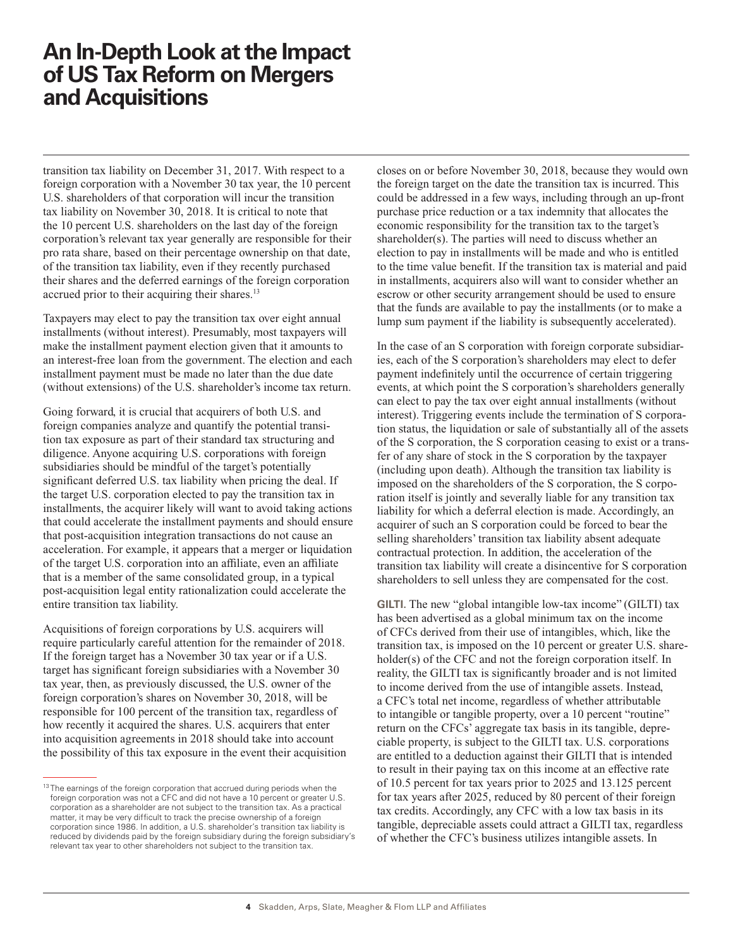transition tax liability on December 31, 2017. With respect to a foreign corporation with a November 30 tax year, the 10 percent U.S. shareholders of that corporation will incur the transition tax liability on November 30, 2018. It is critical to note that the 10 percent U.S. shareholders on the last day of the foreign corporation's relevant tax year generally are responsible for their pro rata share, based on their percentage ownership on that date, of the transition tax liability, even if they recently purchased their shares and the deferred earnings of the foreign corporation accrued prior to their acquiring their shares.<sup>13</sup>

Taxpayers may elect to pay the transition tax over eight annual installments (without interest). Presumably, most taxpayers will make the installment payment election given that it amounts to an interest-free loan from the government. The election and each installment payment must be made no later than the due date (without extensions) of the U.S. shareholder's income tax return.

Going forward, it is crucial that acquirers of both U.S. and foreign companies analyze and quantify the potential transition tax exposure as part of their standard tax structuring and diligence. Anyone acquiring U.S. corporations with foreign subsidiaries should be mindful of the target's potentially significant deferred U.S. tax liability when pricing the deal. If the target U.S. corporation elected to pay the transition tax in installments, the acquirer likely will want to avoid taking actions that could accelerate the installment payments and should ensure that post-acquisition integration transactions do not cause an acceleration. For example, it appears that a merger or liquidation of the target U.S. corporation into an affiliate, even an affiliate that is a member of the same consolidated group, in a typical post-acquisition legal entity rationalization could accelerate the entire transition tax liability.

Acquisitions of foreign corporations by U.S. acquirers will require particularly careful attention for the remainder of 2018. If the foreign target has a November 30 tax year or if a U.S. target has significant foreign subsidiaries with a November 30 tax year, then, as previously discussed, the U.S. owner of the foreign corporation's shares on November 30, 2018, will be responsible for 100 percent of the transition tax, regardless of how recently it acquired the shares. U.S. acquirers that enter into acquisition agreements in 2018 should take into account the possibility of this tax exposure in the event their acquisition closes on or before November 30, 2018, because they would own the foreign target on the date the transition tax is incurred. This could be addressed in a few ways, including through an up-front purchase price reduction or a tax indemnity that allocates the economic responsibility for the transition tax to the target's shareholder(s). The parties will need to discuss whether an election to pay in installments will be made and who is entitled to the time value benefit. If the transition tax is material and paid in installments, acquirers also will want to consider whether an escrow or other security arrangement should be used to ensure that the funds are available to pay the installments (or to make a lump sum payment if the liability is subsequently accelerated).

In the case of an S corporation with foreign corporate subsidiaries, each of the S corporation's shareholders may elect to defer payment indefinitely until the occurrence of certain triggering events, at which point the S corporation's shareholders generally can elect to pay the tax over eight annual installments (without interest). Triggering events include the termination of S corporation status, the liquidation or sale of substantially all of the assets of the S corporation, the S corporation ceasing to exist or a transfer of any share of stock in the S corporation by the taxpayer (including upon death). Although the transition tax liability is imposed on the shareholders of the S corporation, the S corporation itself is jointly and severally liable for any transition tax liability for which a deferral election is made. Accordingly, an acquirer of such an S corporation could be forced to bear the selling shareholders' transition tax liability absent adequate contractual protection. In addition, the acceleration of the transition tax liability will create a disincentive for S corporation shareholders to sell unless they are compensated for the cost.

**GILTI.** The new "global intangible low-tax income" (GILTI) tax has been advertised as a global minimum tax on the income of CFCs derived from their use of intangibles, which, like the transition tax, is imposed on the 10 percent or greater U.S. shareholder(s) of the CFC and not the foreign corporation itself. In reality, the GILTI tax is significantly broader and is not limited to income derived from the use of intangible assets. Instead, a CFC's total net income, regardless of whether attributable to intangible or tangible property, over a 10 percent "routine" return on the CFCs' aggregate tax basis in its tangible, depreciable property, is subject to the GILTI tax. U.S. corporations are entitled to a deduction against their GILTI that is intended to result in their paying tax on this income at an effective rate of 10.5 percent for tax years prior to 2025 and 13.125 percent for tax years after 2025, reduced by 80 percent of their foreign tax credits. Accordingly, any CFC with a low tax basis in its tangible, depreciable assets could attract a GILTI tax, regardless of whether the CFC's business utilizes intangible assets. In

<sup>&</sup>lt;sup>13</sup> The earnings of the foreign corporation that accrued during periods when the foreign corporation was not a CFC and did not have a 10 percent or greater U.S. corporation as a shareholder are not subject to the transition tax. As a practical matter, it may be very difficult to track the precise ownership of a foreign corporation since 1986. In addition, a U.S. shareholder's transition tax liability is reduced by dividends paid by the foreign subsidiary during the foreign subsidiary's relevant tax year to other shareholders not subject to the transition tax.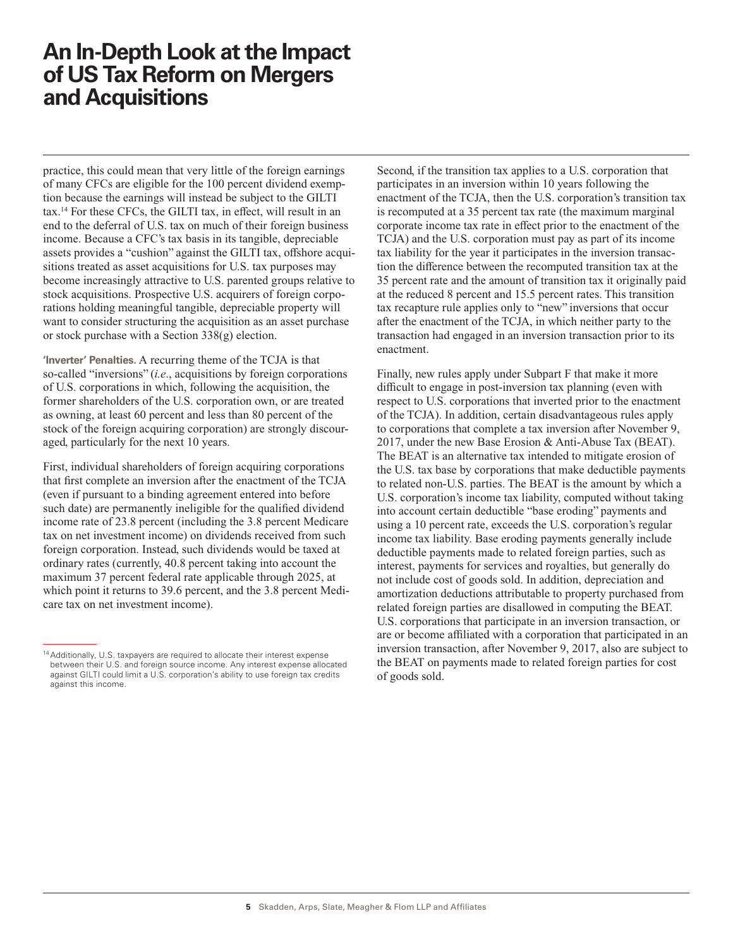practice, this could mean that very little of the foreign earnings of many CFCs are eligible for the 100 percent dividend exemption because the earnings will instead be subject to the GILTI tax.14 For these CFCs, the GILTI tax, in effect, will result in an end to the deferral of U.S. tax on much of their foreign business income. Because a CFC's tax basis in its tangible, depreciable assets provides a "cushion" against the GILTI tax, offshore acquisitions treated as asset acquisitions for U.S. tax purposes may become increasingly attractive to U.S. parented groups relative to stock acquisitions. Prospective U.S. acquirers of foreign corporations holding meaningful tangible, depreciable property will want to consider structuring the acquisition as an asset purchase or stock purchase with a Section 338(g) election.

**'Inverter' Penalties.** A recurring theme of the TCJA is that so-called "inversions" (*i.e*., acquisitions by foreign corporations of U.S. corporations in which, following the acquisition, the former shareholders of the U.S. corporation own, or are treated as owning, at least 60 percent and less than 80 percent of the stock of the foreign acquiring corporation) are strongly discouraged, particularly for the next 10 years.

First, individual shareholders of foreign acquiring corporations that first complete an inversion after the enactment of the TCJA (even if pursuant to a binding agreement entered into before such date) are permanently ineligible for the qualified dividend income rate of 23.8 percent (including the 3.8 percent Medicare tax on net investment income) on dividends received from such foreign corporation. Instead, such dividends would be taxed at ordinary rates (currently, 40.8 percent taking into account the maximum 37 percent federal rate applicable through 2025, at which point it returns to 39.6 percent, and the 3.8 percent Medicare tax on net investment income).

Second, if the transition tax applies to a U.S. corporation that participates in an inversion within 10 years following the enactment of the TCJA, then the U.S. corporation's transition tax is recomputed at a 35 percent tax rate (the maximum marginal corporate income tax rate in effect prior to the enactment of the TCJA) and the U.S. corporation must pay as part of its income tax liability for the year it participates in the inversion transaction the difference between the recomputed transition tax at the 35 percent rate and the amount of transition tax it originally paid at the reduced 8 percent and 15.5 percent rates. This transition tax recapture rule applies only to "new" inversions that occur after the enactment of the TCJA, in which neither party to the transaction had engaged in an inversion transaction prior to its enactment.

Finally, new rules apply under Subpart F that make it more difficult to engage in post-inversion tax planning (even with respect to U.S. corporations that inverted prior to the enactment of the TCJA). In addition, certain disadvantageous rules apply to corporations that complete a tax inversion after November 9, 2017, under the new Base Erosion & Anti-Abuse Tax (BEAT). The BEAT is an alternative tax intended to mitigate erosion of the U.S. tax base by corporations that make deductible payments to related non-U.S. parties. The BEAT is the amount by which a U.S. corporation's income tax liability, computed without taking into account certain deductible "base eroding" payments and using a 10 percent rate, exceeds the U.S. corporation's regular income tax liability. Base eroding payments generally include deductible payments made to related foreign parties, such as interest, payments for services and royalties, but generally do not include cost of goods sold. In addition, depreciation and amortization deductions attributable to property purchased from related foreign parties are disallowed in computing the BEAT. U.S. corporations that participate in an inversion transaction, or are or become affiliated with a corporation that participated in an inversion transaction, after November 9, 2017, also are subject to the BEAT on payments made to related foreign parties for cost of goods sold.

<sup>&</sup>lt;sup>14</sup> Additionally, U.S. taxpayers are required to allocate their interest expense between their U.S. and foreign source income. Any interest expense allocated against GILTI could limit a U.S. corporation's ability to use foreign tax credits against this income.